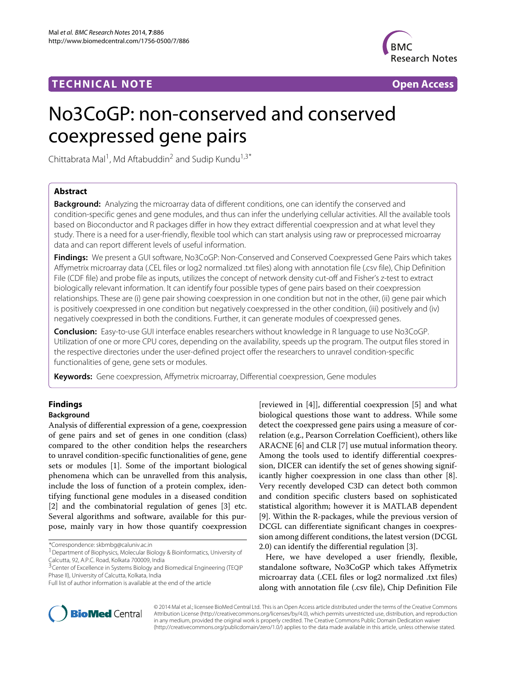# **TECHNICAL NOTE** *CONTRESSED ACCESS* **<b>***COPEN ACCESS*



# No3CoGP: non-conserved and conserved coexpressed gene pairs

Chittabrata Mal<sup>1</sup>, Md Aftabuddin<sup>2</sup> and Sudip Kundu<sup>1,3\*</sup>

# **Abstract**

**Background:** Analyzing the microarray data of different conditions, one can identify the conserved and condition-specific genes and gene modules, and thus can infer the underlying cellular activities. All the available tools based on Bioconductor and R packages differ in how they extract differential coexpression and at what level they study. There is a need for a user-friendly, flexible tool which can start analysis using raw or preprocessed microarray data and can report different levels of useful information.

**Findings:** We present a GUI software, No3CoGP: Non-Conserved and Conserved Coexpressed Gene Pairs which takes Affymetrix microarray data (.CEL files or log2 normalized .txt files) along with annotation file (.csv file), Chip Definition File (CDF file) and probe file as inputs, utilizes the concept of network density cut-off and Fisher's z-test to extract biologically relevant information. It can identify four possible types of gene pairs based on their coexpression relationships. These are (i) gene pair showing coexpression in one condition but not in the other, (ii) gene pair which is positively coexpressed in one condition but negatively coexpressed in the other condition, (iii) positively and (iv) negatively coexpressed in both the conditions. Further, it can generate modules of coexpressed genes.

**Conclusion:** Easy-to-use GUI interface enables researchers without knowledge in R language to use No3CoGP. Utilization of one or more CPU cores, depending on the availability, speeds up the program. The output files stored in the respective directories under the user-defined project offer the researchers to unravel condition-specific functionalities of gene, gene sets or modules.

**Keywords:** Gene coexpression, Affymetrix microarray, Differential coexpression, Gene modules

# **Findings Background**

Analysis of differential expression of a gene, coexpression of gene pairs and set of genes in one condition (class) compared to the other condition helps the researchers to unravel condition-specific functionalities of gene, gene sets or modules [\[1\]](#page-4-0). Some of the important biological phenomena which can be unravelled from this analysis, include the loss of function of a protein complex, identifying functional gene modules in a diseased condition [\[2\]](#page-4-1) and the combinatorial regulation of genes [\[3\]](#page-4-2) etc. Several algorithms and software, available for this purpose, mainly vary in how those quantify coexpression

[reviewed in [\[4\]](#page-4-3)], differential coexpression [\[5\]](#page-4-4) and what biological questions those want to address. While some detect the coexpressed gene pairs using a measure of correlation (e.g., Pearson Correlation Coefficient), others like ARACNE [\[6\]](#page-4-5) and CLR [\[7\]](#page-4-6) use mutual information theory. Among the tools used to identify differential coexpression, DICER can identify the set of genes showing significantly higher coexpression in one class than other [\[8\]](#page-4-7). Very recently developed C3D can detect both common and condition specific clusters based on sophisticated statistical algorithm; however it is MATLAB dependent [\[9\]](#page-4-8). Within the R-packages, while the previous version of DCGL can differentiate significant changes in coexpression among different conditions, the latest version (DCGL 2.0) can identify the differential regulation [\[3\]](#page-4-2).

Here, we have developed a user friendly, flexible, standalone software, No3CoGP which takes Affymetrix microarray data (.CEL files or log2 normalized .txt files) along with annotation file (.csv file), Chip Definition File



© 2014 Mal et al.; licensee BioMed Central Ltd. This is an Open Access article distributed under the terms of the Creative Commons Attribution License [\(http://creativecommons.org/licenses/by/4.0\)](http://creativecommons.org/licenses/by/4.0), which permits unrestricted use, distribution, and reproduction in any medium, provided the original work is properly credited. The Creative Commons Public Domain Dedication waiver [\(http://creativecommons.org/publicdomain/zero/1.0/\)](http://creativecommons.org/publicdomain/zero/1.0/) applies to the data made available in this article, unless otherwise stated.

<sup>\*</sup>Correspondence: [skbmbg@caluniv.ac.in](mailto: skbmbg@caluniv.ac.in)

<sup>&</sup>lt;sup>1</sup> Department of Biophysics, Molecular Biology & Bioinformatics, University of Calcutta, 92, A.P.C. Road, Kolkata 700009, India<br><sup>3</sup>Center of Excellence in Systems Biology and Biomedical Engineering (TEQIP

Phase II), University of Calcutta, Kolkata, India

Full list of author information is available at the end of the article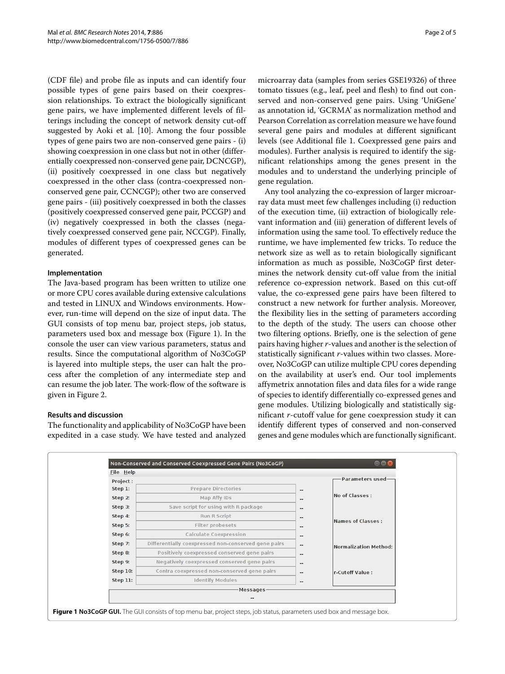(CDF file) and probe file as inputs and can identify four possible types of gene pairs based on their coexpression relationships. To extract the biologically significant gene pairs, we have implemented different levels of filterings including the concept of network density cut-off suggested by Aoki et al. [\[10\]](#page-4-9). Among the four possible types of gene pairs two are non-conserved gene pairs - (i) showing coexpression in one class but not in other (differentially coexpressed non-conserved gene pair, DCNCGP), (ii) positively coexpressed in one class but negatively coexpressed in the other class (contra-coexpressed nonconserved gene pair, CCNCGP); other two are conserved gene pairs - (iii) positively coexpressed in both the classes (positively coexpressed conserved gene pair, PCCGP) and (iv) negatively coexpressed in both the classes (negatively coexpressed conserved gene pair, NCCGP). Finally, modules of different types of coexpressed genes can be generated.

# **Implementation**

The Java-based program has been written to utilize one or more CPU cores available during extensive calculations and tested in LINUX and Windows environments. However, run-time will depend on the size of input data. The GUI consists of top menu bar, project steps, job status, parameters used box and message box (Figure [1\)](#page-1-0). In the console the user can view various parameters, status and results. Since the computational algorithm of No3CoGP is layered into multiple steps, the user can halt the process after the completion of any intermediate step and can resume the job later. The work-flow of the software is given in Figure [2.](#page-2-0)

# **Results and discussion**

The functionality and applicability of No3CoGP have been expedited in a case study. We have tested and analyzed microarray data (samples from series GSE19326) of three tomato tissues (e.g., leaf, peel and flesh) to find out conserved and non-conserved gene pairs. Using 'UniGene' as annotation id, 'GCRMA' as normalization method and Pearson Correlation as correlation measure we have found several gene pairs and modules at different significant levels (see Additional file [1.](#page-4-10) Coexpressed gene pairs and modules). Further analysis is required to identify the significant relationships among the genes present in the modules and to understand the underlying principle of gene regulation.

Any tool analyzing the co-expression of larger microarray data must meet few challenges including (i) reduction of the execution time, (ii) extraction of biologically relevant information and (iii) generation of different levels of information using the same tool. To effectively reduce the runtime, we have implemented few tricks. To reduce the network size as well as to retain biologically significant information as much as possible, No3CoGP first determines the network density cut-off value from the initial reference co-expression network. Based on this cut-off value, the co-expressed gene pairs have been filtered to construct a new network for further analysis. Moreover, the flexibility lies in the setting of parameters according to the depth of the study. The users can choose other two filtering options. Briefly, one is the selection of gene pairs having higher *r*-values and another is the selection of statistically significant *r*-values within two classes. Moreover, No3CoGP can utilize multiple CPU cores depending on the availability at user's end. Our tool implements affymetrix annotation files and data files for a wide range of species to identify differentially co-expressed genes and gene modules. Utilizing biologically and statistically significant *r*-cutoff value for gene coexpression study it can identify different types of conserved and non-conserved genes and gene modules which are functionally significant.

<span id="page-1-0"></span>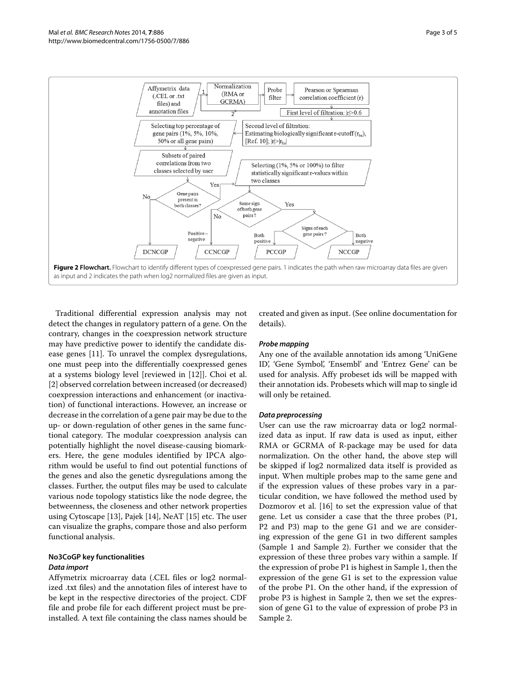

<span id="page-2-0"></span>Traditional differential expression analysis may not detect the changes in regulatory pattern of a gene. On the contrary, changes in the coexpression network structure may have predictive power to identify the candidate disease genes [\[11\]](#page-4-11). To unravel the complex dysregulations, one must peep into the differentially coexpressed genes at a systems biology level [reviewed in [\[12\]](#page-4-12)]. Choi et al. [\[2\]](#page-4-1) observed correlation between increased (or decreased) coexpression interactions and enhancement (or inactivation) of functional interactions. However, an increase or decrease in the correlation of a gene pair may be due to the up- or down-regulation of other genes in the same functional category. The modular coexpression analysis can potentially highlight the novel disease-causing biomarkers. Here, the gene modules identified by IPCA algorithm would be useful to find out potential functions of the genes and also the genetic dysregulations among the classes. Further, the output files may be used to calculate various node topology statistics like the node degree, the betweenness, the closeness and other network properties using Cytoscape [\[13\]](#page-4-13), Pajek [\[14\]](#page-4-14), NeAT [\[15\]](#page-4-15) etc. The user can visualize the graphs, compare those and also perform functional analysis.

# **No3CoGP key functionalities** *Data import*

Affymetrix microarray data (.CEL files or log2 normalized .txt files) and the annotation files of interest have to be kept in the respective directories of the project. CDF file and probe file for each different project must be preinstalled. A text file containing the class names should be created and given as input. (See online documentation for details).

# *Probe mapping*

Any one of the available annotation ids among 'UniGene ID', 'Gene Symbol', 'Ensembl' and 'Entrez Gene' can be used for analysis. Affy probeset ids will be mapped with their annotation ids. Probesets which will map to single id will only be retained.

#### *Data preprocessing*

User can use the raw microarray data or log2 normalized data as input. If raw data is used as input, either RMA or GCRMA of R-package may be used for data normalization. On the other hand, the above step will be skipped if log2 normalized data itself is provided as input. When multiple probes map to the same gene and if the expression values of these probes vary in a particular condition, we have followed the method used by Dozmorov et al. [\[16\]](#page-4-16) to set the expression value of that gene. Let us consider a case that the three probes (P1, P2 and P3) map to the gene G1 and we are considering expression of the gene G1 in two different samples (Sample 1 and Sample 2). Further we consider that the expression of these three probes vary within a sample. If the expression of probe P1 is highest in Sample 1, then the expression of the gene G1 is set to the expression value of the probe P1. On the other hand, if the expression of probe P3 is highest in Sample 2, then we set the expression of gene G1 to the value of expression of probe P3 in Sample 2.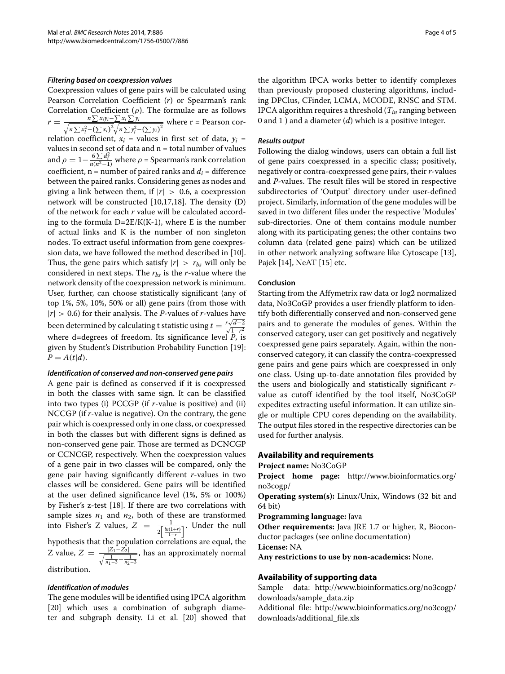#### *Filtering based on coexpression values*

Coexpression values of gene pairs will be calculated using Pearson Correlation Coefficient (*r*) or Spearman's rank Correlation Coefficient ( $\rho$ ). The formulae are as follows  $r = \frac{n \sum x_i y_i - \sum x_i \sum}{\sqrt{\sum x_i^2 + \sum x_i^2 + \sum x_i^2}}$  $\sqrt{2}$ *yi*  $\frac{n \sum x_i y_i - \sum x_i \sum y_i}{n \sum x_i^2 - (\sum x_i)^2}$  where r = Pearson cor-

relation coefficient,  $x_i$  = values in first set of data,  $y_i$  = values in second set of data and n = total number of values and  $\rho = 1 - \frac{6 \sum d_i^2}{n(n^2-1)}$  where  $\rho$  = Spearman's rank correlation coefficient,  $n = number of paired ranks$  and  $d_i = difference$ between the paired ranks. Considering genes as nodes and giving a link between them, if  $|r| > 0.6$ , a coexpression network will be constructed [\[10,](#page-4-9)[17,](#page-4-17)[18\]](#page-4-18). The density (D) of the network for each *r* value will be calculated according to the formula  $D=2E/K(K-1)$ , where E is the number of actual links and K is the number of non singleton nodes. To extract useful information from gene coexpression data, we have followed the method described in [\[10\]](#page-4-9). Thus, the gene pairs which satisfy  $|r| > r_{bs}$  will only be considered in next steps. The *rbs* is the *r*-value where the network density of the coexpression network is minimum. User, further, can choose statistically significant (any of top 1%, 5%, 10%, 50% or all) gene pairs (from those with  $|r| > 0.6$  for their analysis. The *P*-values of *r*-values have been determined by calculating t statistic using  $t = \frac{r\sqrt{2}}{\sqrt{2}}$ √ *d*−2  $1-r^2$ where d=degrees of freedom. Its significance level  $\overrightarrow{P}$ , is given by Student's Distribution Probability Function [\[19\]](#page-4-19):  $P = A(t|d)$ .

## *Identification of conserved and non-conserved gene pairs*

A gene pair is defined as conserved if it is coexpressed in both the classes with same sign. It can be classified into two types (i) PCCGP (if *r*-value is positive) and (ii) NCCGP (if *r*-value is negative). On the contrary, the gene pair which is coexpressed only in one class, or coexpressed in both the classes but with different signs is defined as non-conserved gene pair. Those are termed as DCNCGP or CCNCGP, respectively. When the coexpression values of a gene pair in two classes will be compared, only the gene pair having significantly different *r*-values in two classes will be considered. Gene pairs will be identified at the user defined significance level (1%, 5% or 100%) by Fisher's z-test [\[18\]](#page-4-18). If there are two correlations with sample sizes *n*<sup>1</sup> and *n*2, both of these are transformed into Fisher's *Z* values,  $Z = \frac{1}{2\left[\frac{ln(1+r)}{1-r}\right]}$ . Under the null hypothesis that the population correlations are equal, the *Z* value,  $Z = \frac{|Z_1 - Z_2|}{\sqrt{\frac{1}{n_1 - 3} + \frac{1}{n_2 - 3}}}$ , has an approximately normal distribution.

## *Identification of modules*

The gene modules will be identified using IPCA algorithm [\[20\]](#page-4-20) which uses a combination of subgraph diameter and subgraph density. Li et al. [\[20\]](#page-4-20) showed that

the algorithm IPCA works better to identify complexes than previously proposed clustering algorithms, including DPClus, CFinder, LCMA, MCODE, RNSC and STM. IPCA algorithm requires a threshold (*Tin* ranging between 0 and 1 ) and a diameter (*d*) which is a positive integer.

#### *Results output*

Following the dialog windows, users can obtain a full list of gene pairs coexpressed in a specific class; positively, negatively or contra-coexpressed gene pairs, their *r*-values and *P*-values. The result files will be stored in respective subdirectories of 'Output' directory under user-defined project. Similarly, information of the gene modules will be saved in two different files under the respective 'Modules' sub-directories. One of them contains module number along with its participating genes; the other contains two column data (related gene pairs) which can be utilized in other network analyzing software like Cytoscape [\[13\]](#page-4-13), Pajek [\[14\]](#page-4-14), NeAT [\[15\]](#page-4-15) etc.

#### **Conclusion**

Starting from the Affymetrix raw data or log2 normalized data, No3CoGP provides a user friendly platform to identify both differentially conserved and non-conserved gene pairs and to generate the modules of genes. Within the conserved category, user can get positively and negatively coexpressed gene pairs separately. Again, within the nonconserved category, it can classify the contra-coexpressed gene pairs and gene pairs which are coexpressed in only one class. Using up-to-date annotation files provided by the users and biologically and statistically significant *r*value as cutoff identified by the tool itself, No3CoGP expedites extracting useful information. It can utilize single or multiple CPU cores depending on the availability. The output files stored in the respective directories can be used for further analysis.

#### **Availability and requirements**

**Project name:** No3CoGP

**Project home page:** [http://www.bioinformatics.org/](http://www.bioinformatics.org/no3cogp/) [no3cogp/](http://www.bioinformatics.org/no3cogp/)

**Operating system(s):** Linux/Unix, Windows (32 bit and 64 bit)

**Programming language:** Java

**Other requirements:** Java JRE 1.7 or higher, R, Bioconductor packages (see online documentation) **License:** NA

**Any restrictions to use by non-academics:** None.

#### **Availability of supporting data**

Sample data: [http://www.bioinformatics.org/no3cogp/](http://www.bioinformatics.org/no3cogp/downloads/sample_data.zip) [downloads/sample\\_data.zip](http://www.bioinformatics.org/no3cogp/downloads/sample_data.zip) Additional file: [http://www.bioinformatics.org/no3cogp/](http://www.bioinformatics.org/no3cogp/downloads/additional_file.xls) [downloads/additional\\_file.xls](http://www.bioinformatics.org/no3cogp/downloads/additional_file.xls)